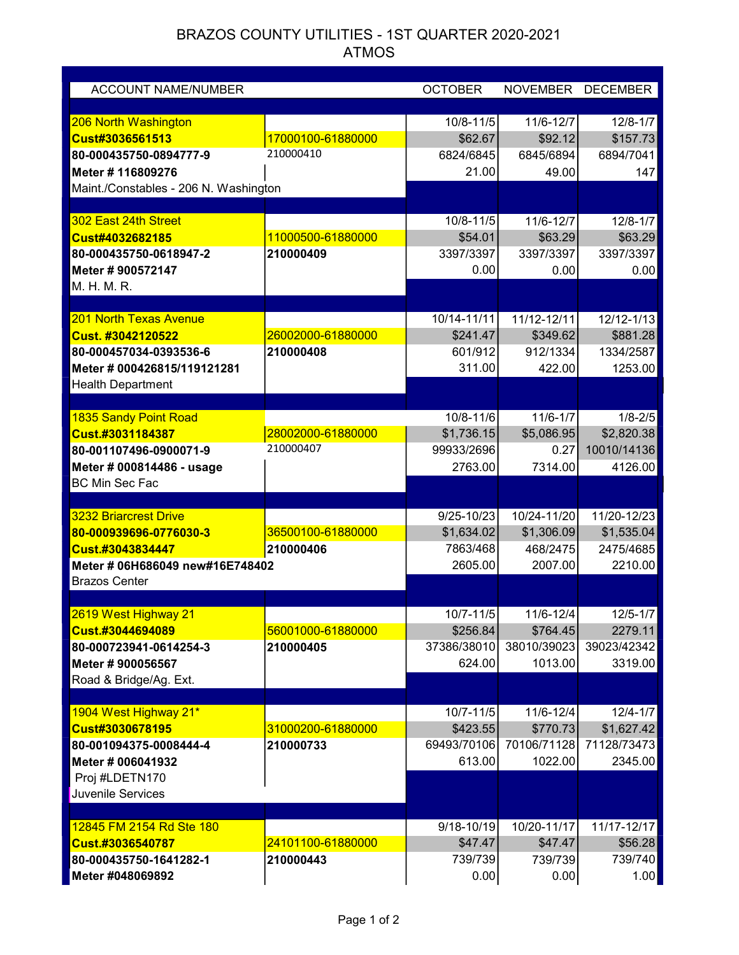## BRAZOS COUNTY UTILITIES - 1ST QUARTER 2020-2021 ATMOS

| <b>ACCOUNT NAME/NUMBER</b>                  |                   | <b>OCTOBER</b>             |                       | NOVEMBER DECEMBER |
|---------------------------------------------|-------------------|----------------------------|-----------------------|-------------------|
| 206 North Washington                        |                   | $10/8 - 11/5$              | 11/6-12/7             | $12/8 - 1/7$      |
| Cust#3036561513                             | 17000100-61880000 | \$62.67                    | \$92.12               | \$157.73          |
| 80-000435750-0894777-9                      | 210000410         | 6824/6845                  | 6845/6894             | 6894/7041         |
| Meter # 116809276                           |                   | 21.00                      | 49.00                 | 147               |
| Maint./Constables - 206 N. Washington       |                   |                            |                       |                   |
|                                             |                   |                            |                       |                   |
| 302 East 24th Street                        |                   | 10/8-11/5                  | 11/6-12/7             | $12/8 - 1/7$      |
| Cust#4032682185                             | 11000500-61880000 | \$54.01                    | \$63.29               | \$63.29           |
| 80-000435750-0618947-2                      | 210000409         | 3397/3397                  | 3397/3397             | 3397/3397         |
| Meter # 900572147                           |                   | 0.00                       | 0.00                  | 0.00              |
| M. H. M. R.                                 |                   |                            |                       |                   |
|                                             |                   |                            |                       |                   |
| 201 North Texas Avenue                      |                   | $\overline{10/14} - 11/11$ | 11/12-12/11           | 12/12-1/13        |
| Cust. #3042120522                           | 26002000-61880000 | \$241.47                   | \$349.62              | \$881.28          |
| 80-000457034-0393536-6                      | 210000408         | 601/912                    | 912/1334              | 1334/2587         |
| Meter # 000426815/119121281                 |                   | 311.00                     | 422.00                | 1253.00           |
| <b>Health Department</b>                    |                   |                            |                       |                   |
| 1835 Sandy Point Road                       |                   | 10/8-11/6                  | $11/6 - 1/7$          | $1/8 - 2/5$       |
| Cust.#3031184387                            | 28002000-61880000 | \$1,736.15                 | \$5,086.95            | \$2,820.38        |
| 80-001107496-0900071-9                      | 210000407         | 99933/2696                 | 0.27                  | 10010/14136       |
|                                             |                   | 2763.00                    |                       |                   |
| Meter # 000814486 - usage<br>BC Min Sec Fac |                   |                            | 7314.00               | 4126.00           |
|                                             |                   |                            |                       |                   |
| <b>3232 Briarcrest Drive</b>                |                   | $9/25 - 10/23$             | 10/24-11/20           | 11/20-12/23       |
| 80-000939696-0776030-3                      | 36500100-61880000 | \$1,634.02                 | \$1,306.09            | \$1,535.04        |
| Cust.#3043834447                            | 210000406         | 7863/468                   | 468/2475              | 2475/4685         |
| Meter # 06H686049 new#16E748402             |                   | 2605.00                    | 2007.00               | 2210.00           |
| <b>Brazos Center</b>                        |                   |                            |                       |                   |
|                                             |                   |                            |                       |                   |
| 2619 West Highway 21                        |                   | $10/7 - 11/5$              | 11/6-12/4             | $12/5 - 1/7$      |
| Cust.#3044694089                            | 56001000-61880000 | \$256.84                   | \$764.45              | 2279.11           |
| 80-000723941-0614254-3                      | 210000405         | 37386/38010                | 38010/39023           | 39023/42342       |
| Meter # 900056567                           |                   | 624.00                     | 1013.00               | 3319.00           |
| Road & Bridge/Ag. Ext.                      |                   |                            |                       |                   |
|                                             |                   |                            |                       | $12/4 - 1/7$      |
| 1904 West Highway 21*<br>Cust#3030678195    | 31000200-61880000 | $10/7 - 11/5$<br>\$423.55  | 11/6-12/4<br>\$770.73 | \$1,627.42        |
| 80-001094375-0008444-4                      | 210000733         | 69493/70106                | 70106/71128           | 71128/73473       |
| Meter # 006041932                           |                   | 613.00                     | 1022.00               | 2345.00           |
| Proj #LDETN170                              |                   |                            |                       |                   |
| Juvenile Services                           |                   |                            |                       |                   |
|                                             |                   |                            |                       |                   |
| 12845 FM 2154 Rd Ste 180                    |                   | 9/18-10/19                 | 10/20-11/17           | 11/17-12/17       |
| Cust.#3036540787                            | 24101100-61880000 | \$47.47                    | \$47.47               | \$56.28           |
| 80-000435750-1641282-1                      | 210000443         | 739/739                    | 739/739               | 739/740           |
| Meter #048069892                            |                   | 0.00                       | 0.00                  | 1.00              |